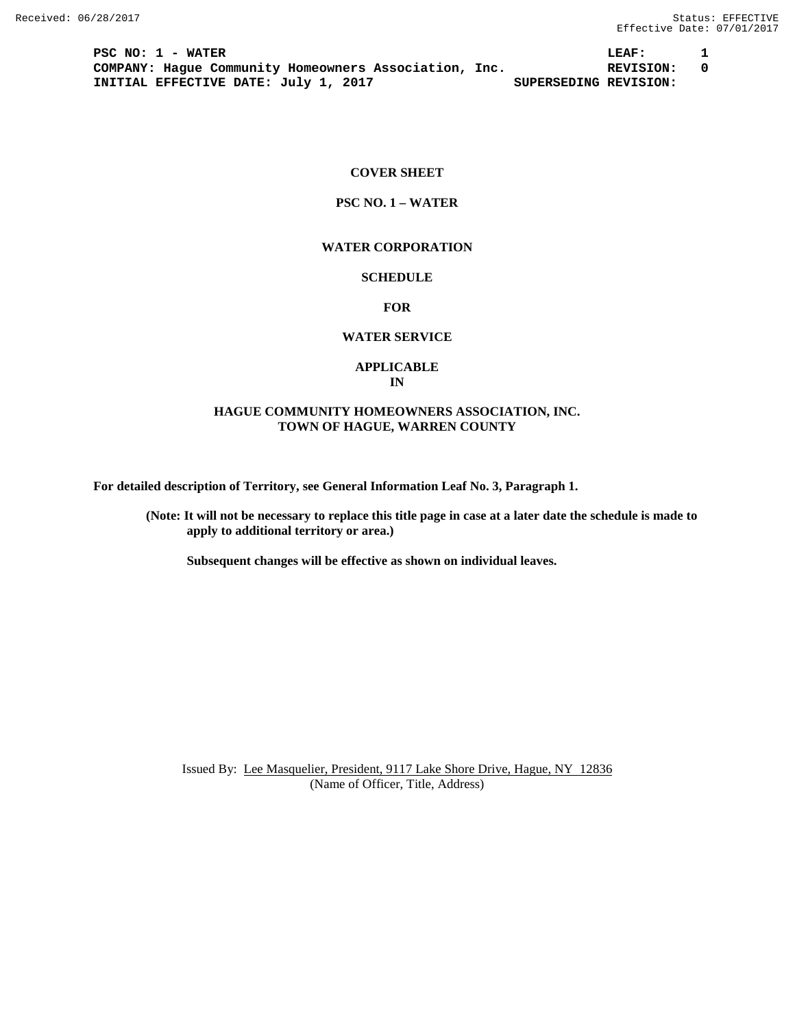**PSC NO: 1 - WATER LEAF: 1 COMPANY: Hague Community Homeowners Association, Inc. REVISION: 0**<br>INITIAL EFFECTIVE DATE: July 1, 2017 **1.** SUPERSEDING REVISION: **INITIAL EFFECTIVE DATE: July 1, 2017** 

### **COVER SHEET**

## **PSC NO. 1 – WATER**

#### **WATER CORPORATION**

## **SCHEDULE**

**FOR**

# **WATER SERVICE**

### **APPLICABLE IN**

## **HAGUE COMMUNITY HOMEOWNERS ASSOCIATION, INC. TOWN OF HAGUE, WARREN COUNTY**

**For detailed description of Territory, see General Information Leaf No. 3, Paragraph 1.**

**(Note: It will not be necessary to replace this title page in case at a later date the schedule is made to apply to additional territory or area.)**

**Subsequent changes will be effective as shown on individual leaves.**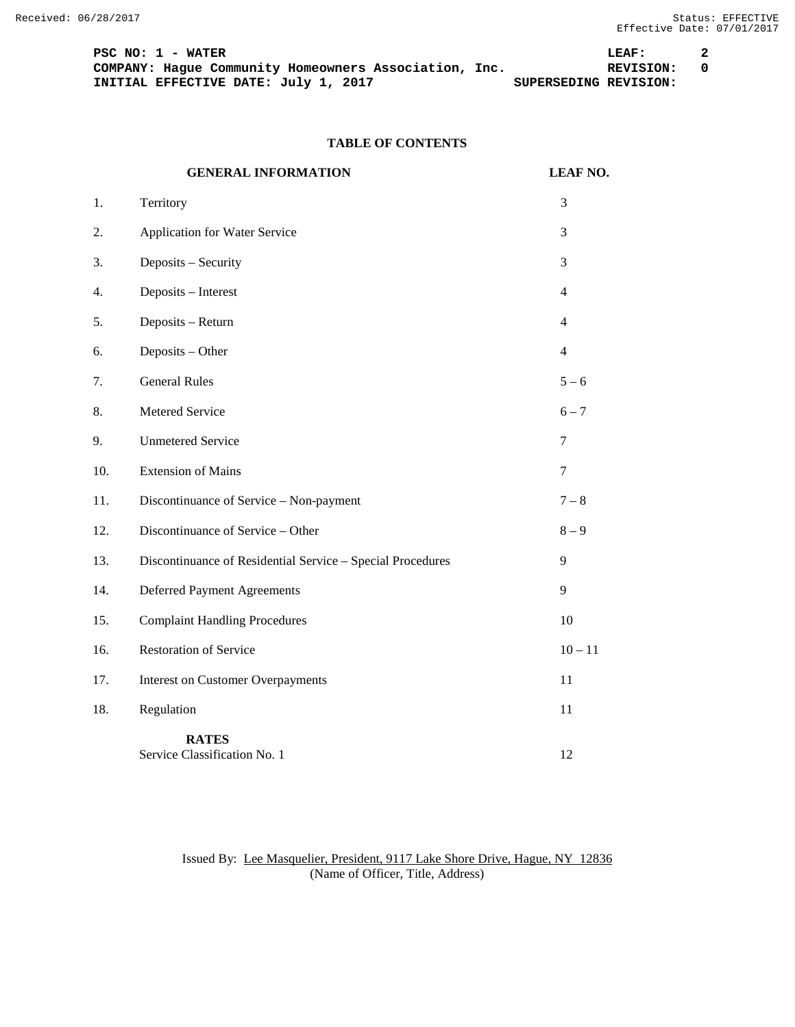PSC NO: 1 - WATER 2<br>
COMPANY: Hague Community Homeowners Association, Inc. **1988 18: 1988** REVISION: 0 **COMPANY: Hague Community Homeowners Association, Inc. REVISION: INITIAL EFFECTIVE DATE:** July 1, 2017 **1000** SUPERSEDING REVISION: **INITIAL EFFECTIVE DATE: July 1, 2017** 

# **TABLE OF CONTENTS**

|     | <b>GENERAL INFORMATION</b>                                 | <b>LEAF NO.</b> |
|-----|------------------------------------------------------------|-----------------|
| 1.  | Territory                                                  | 3               |
| 2.  | Application for Water Service                              | 3               |
| 3.  | Deposits - Security                                        | 3               |
| 4.  | Deposits - Interest                                        | $\overline{4}$  |
| 5.  | Deposits - Return                                          | $\overline{4}$  |
| 6.  | Deposits - Other                                           | $\overline{4}$  |
| 7.  | <b>General Rules</b>                                       | $5 - 6$         |
| 8.  | Metered Service                                            | $6 - 7$         |
| 9.  | <b>Unmetered Service</b>                                   | $\tau$          |
| 10. | <b>Extension of Mains</b>                                  | $\tau$          |
| 11. | Discontinuance of Service - Non-payment                    | $7 - 8$         |
| 12. | Discontinuance of Service - Other                          | $8-9$           |
| 13. | Discontinuance of Residential Service - Special Procedures | 9               |
| 14. | <b>Deferred Payment Agreements</b>                         | 9               |
| 15. | <b>Complaint Handling Procedures</b>                       | 10              |
| 16. | <b>Restoration of Service</b>                              | $10 - 11$       |
| 17. | <b>Interest on Customer Overpayments</b>                   | 11              |
| 18. | Regulation                                                 | 11              |
|     | <b>RATES</b><br>Service Classification No. 1               | 12              |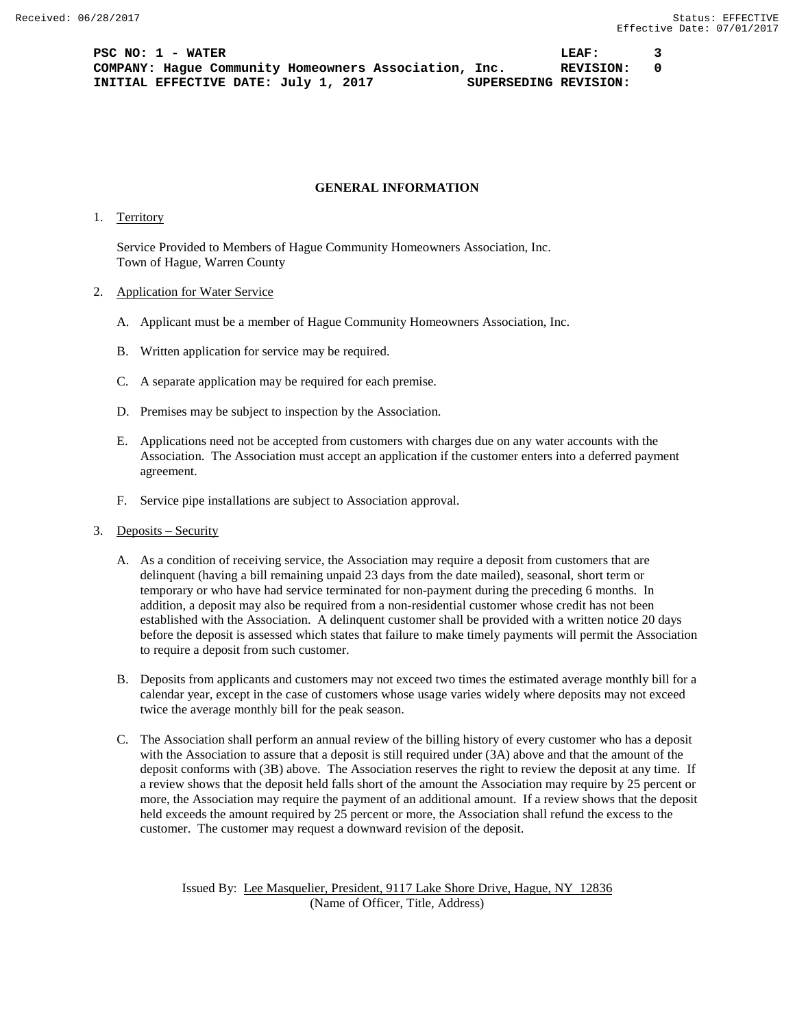**PSC NO: 1 - WATER LEAF: 3 COMPANY: Hague Community Homeowners Association, Inc. REVISION: 0 INITIAL EFFECTIVE DATE: July 1, 2017 SUPERSEDING REVISION:**

### **GENERAL INFORMATION**

1. Territory

Service Provided to Members of Hague Community Homeowners Association, Inc. Town of Hague, Warren County

- 2. Application for Water Service
	- A. Applicant must be a member of Hague Community Homeowners Association, Inc.
	- B. Written application for service may be required.
	- C. A separate application may be required for each premise.
	- D. Premises may be subject to inspection by the Association.
	- E. Applications need not be accepted from customers with charges due on any water accounts with the Association. The Association must accept an application if the customer enters into a deferred payment agreement.
	- F. Service pipe installations are subject to Association approval.
- 3. Deposits Security
	- A. As a condition of receiving service, the Association may require a deposit from customers that are delinquent (having a bill remaining unpaid 23 days from the date mailed), seasonal, short term or temporary or who have had service terminated for non-payment during the preceding 6 months. In addition, a deposit may also be required from a non-residential customer whose credit has not been established with the Association. A delinquent customer shall be provided with a written notice 20 days before the deposit is assessed which states that failure to make timely payments will permit the Association to require a deposit from such customer.
	- B. Deposits from applicants and customers may not exceed two times the estimated average monthly bill for a calendar year, except in the case of customers whose usage varies widely where deposits may not exceed twice the average monthly bill for the peak season.
	- C. The Association shall perform an annual review of the billing history of every customer who has a deposit with the Association to assure that a deposit is still required under (3A) above and that the amount of the deposit conforms with (3B) above. The Association reserves the right to review the deposit at any time. If a review shows that the deposit held falls short of the amount the Association may require by 25 percent or more, the Association may require the payment of an additional amount. If a review shows that the deposit held exceeds the amount required by 25 percent or more, the Association shall refund the excess to the customer. The customer may request a downward revision of the deposit.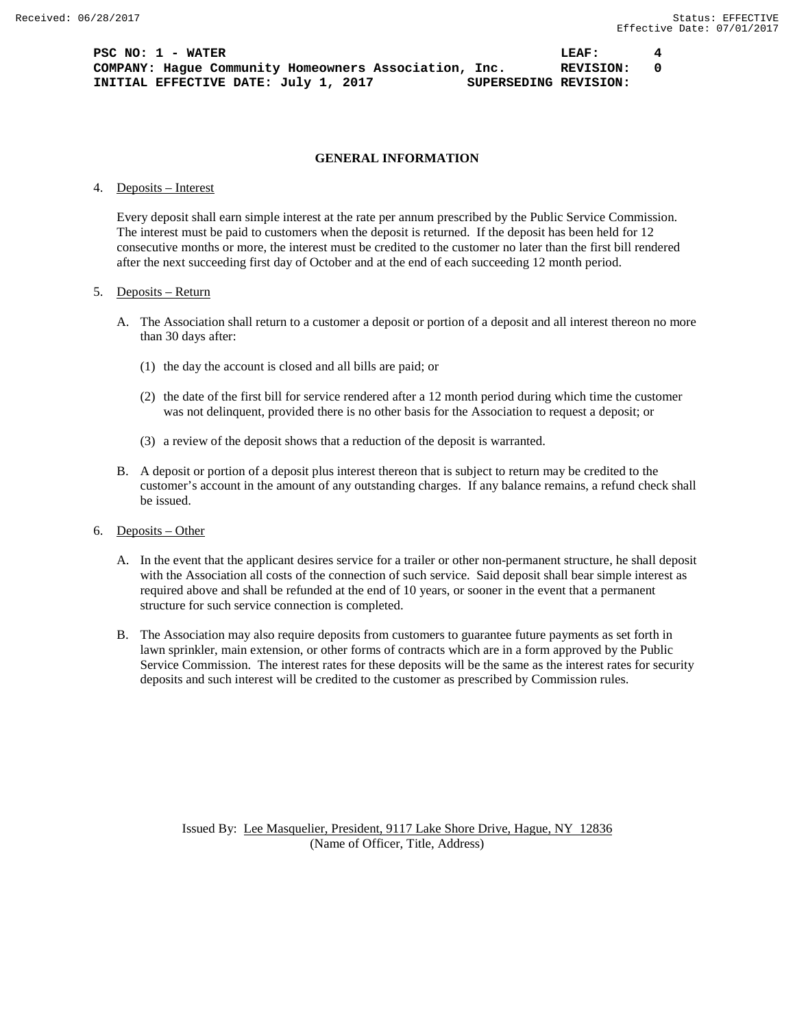**PSC NO: 1 - WATER LEAF: 4 COMPANY: Hague Community Homeowners Association, Inc. REVISION: 0 INITIAL EFFECTIVE DATE: July 1, 2017 SUPERSEDING REVISION:**

## **GENERAL INFORMATION**

#### 4. Deposits – Interest

Every deposit shall earn simple interest at the rate per annum prescribed by the Public Service Commission. The interest must be paid to customers when the deposit is returned. If the deposit has been held for 12 consecutive months or more, the interest must be credited to the customer no later than the first bill rendered after the next succeeding first day of October and at the end of each succeeding 12 month period.

#### 5. Deposits – Return

- A. The Association shall return to a customer a deposit or portion of a deposit and all interest thereon no more than 30 days after:
	- (1) the day the account is closed and all bills are paid; or
	- (2) the date of the first bill for service rendered after a 12 month period during which time the customer was not delinquent, provided there is no other basis for the Association to request a deposit; or
	- (3) a review of the deposit shows that a reduction of the deposit is warranted.
- B. A deposit or portion of a deposit plus interest thereon that is subject to return may be credited to the customer's account in the amount of any outstanding charges. If any balance remains, a refund check shall be issued.
- 6. Deposits Other
	- A. In the event that the applicant desires service for a trailer or other non-permanent structure, he shall deposit with the Association all costs of the connection of such service. Said deposit shall bear simple interest as required above and shall be refunded at the end of 10 years, or sooner in the event that a permanent structure for such service connection is completed.
	- B. The Association may also require deposits from customers to guarantee future payments as set forth in lawn sprinkler, main extension, or other forms of contracts which are in a form approved by the Public Service Commission. The interest rates for these deposits will be the same as the interest rates for security deposits and such interest will be credited to the customer as prescribed by Commission rules.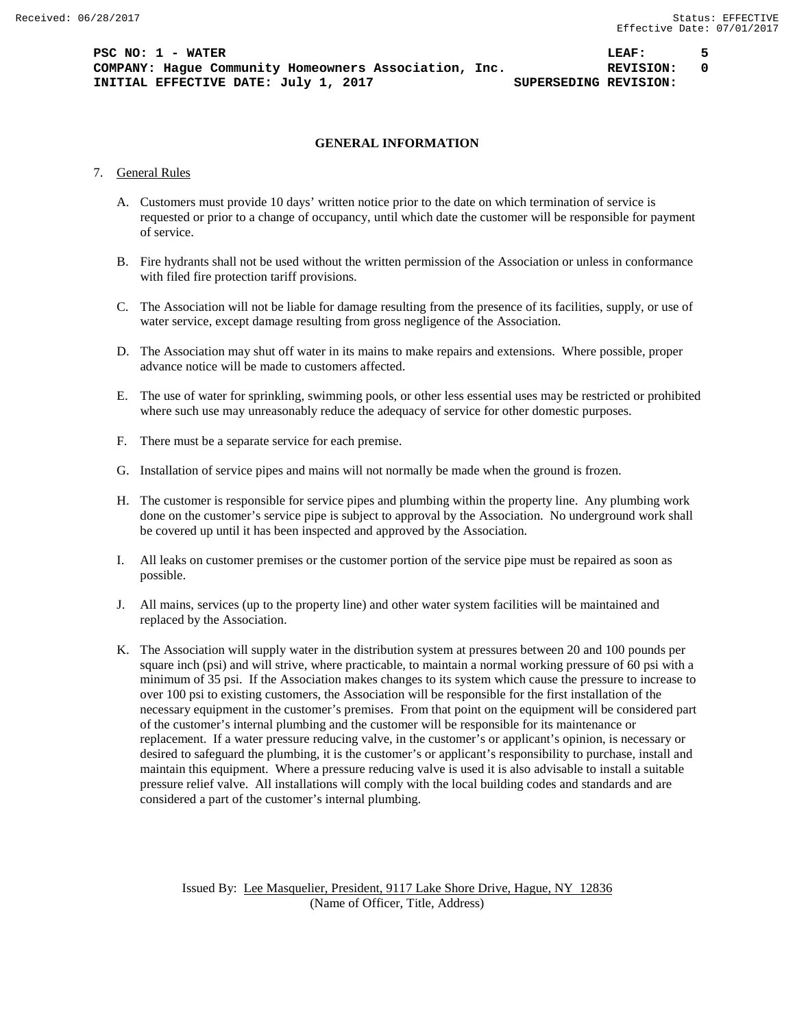## **GENERAL INFORMATION**

## 7. General Rules

- A. Customers must provide 10 days' written notice prior to the date on which termination of service is requested or prior to a change of occupancy, until which date the customer will be responsible for payment of service.
- B. Fire hydrants shall not be used without the written permission of the Association or unless in conformance with filed fire protection tariff provisions.
- C. The Association will not be liable for damage resulting from the presence of its facilities, supply, or use of water service, except damage resulting from gross negligence of the Association.
- D. The Association may shut off water in its mains to make repairs and extensions. Where possible, proper advance notice will be made to customers affected.
- E. The use of water for sprinkling, swimming pools, or other less essential uses may be restricted or prohibited where such use may unreasonably reduce the adequacy of service for other domestic purposes.
- F. There must be a separate service for each premise.
- G. Installation of service pipes and mains will not normally be made when the ground is frozen.
- H. The customer is responsible for service pipes and plumbing within the property line. Any plumbing work done on the customer's service pipe is subject to approval by the Association. No underground work shall be covered up until it has been inspected and approved by the Association.
- I. All leaks on customer premises or the customer portion of the service pipe must be repaired as soon as possible.
- J. All mains, services (up to the property line) and other water system facilities will be maintained and replaced by the Association.
- K. The Association will supply water in the distribution system at pressures between 20 and 100 pounds per square inch (psi) and will strive, where practicable, to maintain a normal working pressure of 60 psi with a minimum of 35 psi. If the Association makes changes to its system which cause the pressure to increase to over 100 psi to existing customers, the Association will be responsible for the first installation of the necessary equipment in the customer's premises. From that point on the equipment will be considered part of the customer's internal plumbing and the customer will be responsible for its maintenance or replacement. If a water pressure reducing valve, in the customer's or applicant's opinion, is necessary or desired to safeguard the plumbing, it is the customer's or applicant's responsibility to purchase, install and maintain this equipment. Where a pressure reducing valve is used it is also advisable to install a suitable pressure relief valve. All installations will comply with the local building codes and standards and are considered a part of the customer's internal plumbing.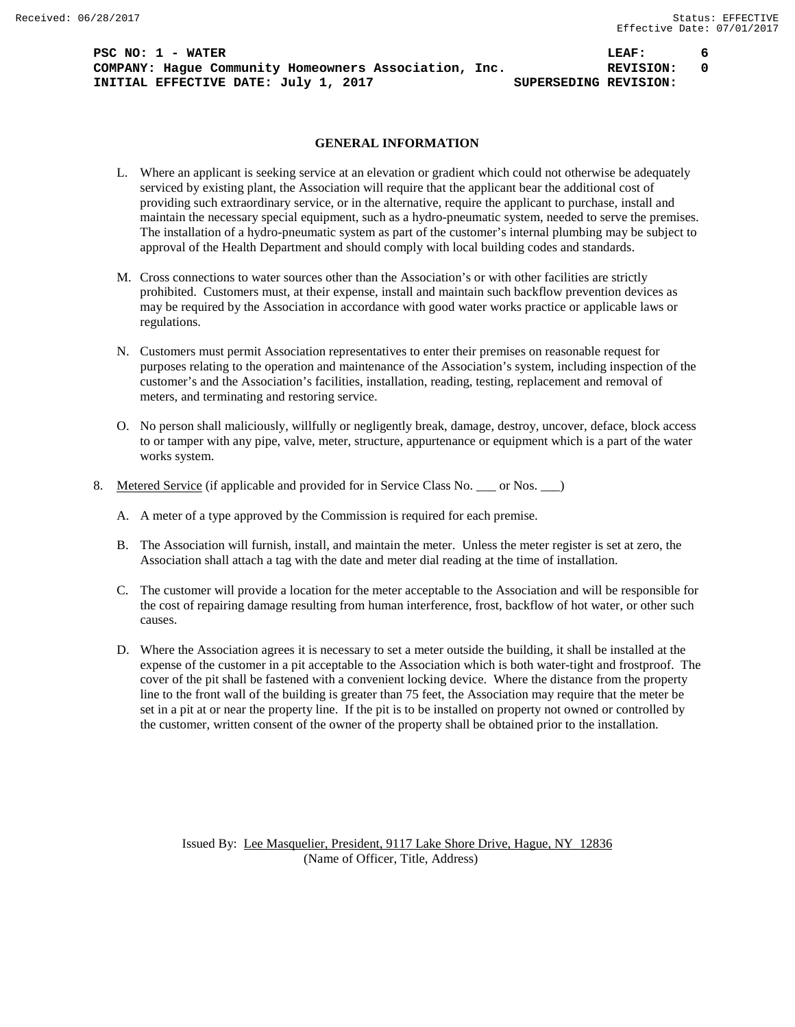**PSC NO: 1 - WATER LEAF: 6 COMPANY: Hague Community Homeowners Association, Inc.**  $REVISION: 0$ **INITIAL EFFECTIVE DATE:** July 1, 2017 **SUPERSEDING REVISION:** 

### **GENERAL INFORMATION**

- L. Where an applicant is seeking service at an elevation or gradient which could not otherwise be adequately serviced by existing plant, the Association will require that the applicant bear the additional cost of providing such extraordinary service, or in the alternative, require the applicant to purchase, install and maintain the necessary special equipment, such as a hydro-pneumatic system, needed to serve the premises. The installation of a hydro-pneumatic system as part of the customer's internal plumbing may be subject to approval of the Health Department and should comply with local building codes and standards.
- M. Cross connections to water sources other than the Association's or with other facilities are strictly prohibited. Customers must, at their expense, install and maintain such backflow prevention devices as may be required by the Association in accordance with good water works practice or applicable laws or regulations.
- N. Customers must permit Association representatives to enter their premises on reasonable request for purposes relating to the operation and maintenance of the Association's system, including inspection of the customer's and the Association's facilities, installation, reading, testing, replacement and removal of meters, and terminating and restoring service.
- O. No person shall maliciously, willfully or negligently break, damage, destroy, uncover, deface, block access to or tamper with any pipe, valve, meter, structure, appurtenance or equipment which is a part of the water works system.
- 8. Metered Service (if applicable and provided for in Service Class No. \_\_\_ or Nos. \_\_)
	- A. A meter of a type approved by the Commission is required for each premise.
	- B. The Association will furnish, install, and maintain the meter. Unless the meter register is set at zero, the Association shall attach a tag with the date and meter dial reading at the time of installation.
	- C. The customer will provide a location for the meter acceptable to the Association and will be responsible for the cost of repairing damage resulting from human interference, frost, backflow of hot water, or other such causes.
	- D. Where the Association agrees it is necessary to set a meter outside the building, it shall be installed at the expense of the customer in a pit acceptable to the Association which is both water-tight and frostproof. The cover of the pit shall be fastened with a convenient locking device. Where the distance from the property line to the front wall of the building is greater than 75 feet, the Association may require that the meter be set in a pit at or near the property line. If the pit is to be installed on property not owned or controlled by the customer, written consent of the owner of the property shall be obtained prior to the installation.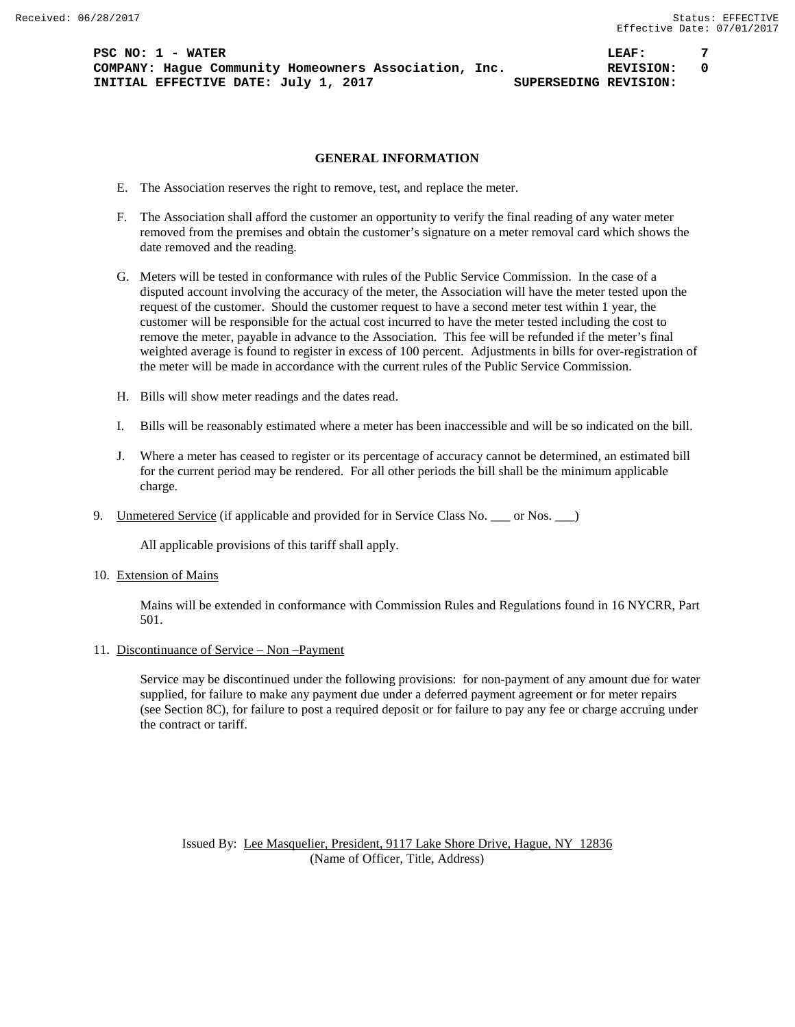**PSC NO: 1 - WATER LEAF: 7 COMPANY: Hague Community Homeowners Association, Inc. REVISION: 0 INITIAL EFFECTIVE DATE:** July 1, 2017 **SUPERSEDING REVISION:** 

## **GENERAL INFORMATION**

- E. The Association reserves the right to remove, test, and replace the meter.
- F. The Association shall afford the customer an opportunity to verify the final reading of any water meter removed from the premises and obtain the customer's signature on a meter removal card which shows the date removed and the reading.
- G. Meters will be tested in conformance with rules of the Public Service Commission. In the case of a disputed account involving the accuracy of the meter, the Association will have the meter tested upon the request of the customer. Should the customer request to have a second meter test within 1 year, the customer will be responsible for the actual cost incurred to have the meter tested including the cost to remove the meter, payable in advance to the Association. This fee will be refunded if the meter's final weighted average is found to register in excess of 100 percent. Adjustments in bills for over-registration of the meter will be made in accordance with the current rules of the Public Service Commission.
- H. Bills will show meter readings and the dates read.
- I. Bills will be reasonably estimated where a meter has been inaccessible and will be so indicated on the bill.
- J. Where a meter has ceased to register or its percentage of accuracy cannot be determined, an estimated bill for the current period may be rendered. For all other periods the bill shall be the minimum applicable charge.
- 9. Unmetered Service (if applicable and provided for in Service Class No. \_\_\_ or Nos. \_\_\_)

All applicable provisions of this tariff shall apply.

10. Extension of Mains

Mains will be extended in conformance with Commission Rules and Regulations found in 16 NYCRR, Part 501.

11. Discontinuance of Service – Non –Payment

Service may be discontinued under the following provisions: for non-payment of any amount due for water supplied, for failure to make any payment due under a deferred payment agreement or for meter repairs (see Section 8C), for failure to post a required deposit or for failure to pay any fee or charge accruing under the contract or tariff.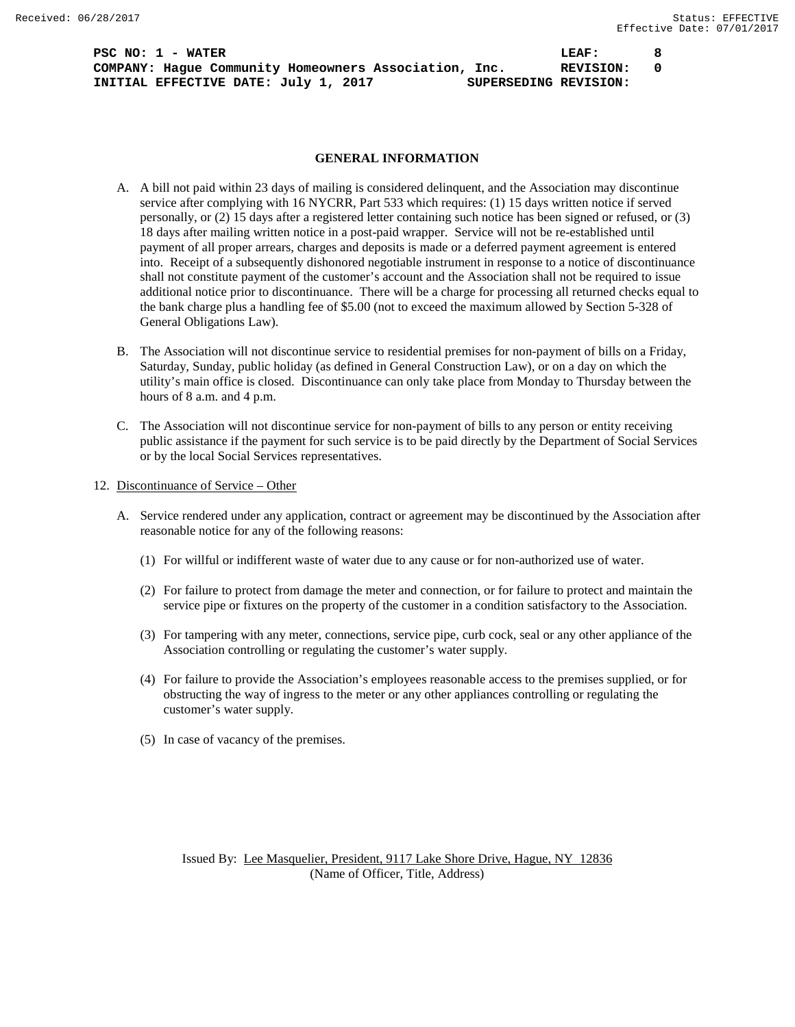**PSC NO: 1 - WATER LEAF: 8 COMPANY: Hague Community Homeowners Association, Inc. REVISION: 0 INITIAL EFFECTIVE DATE: July 1, 2017 SUPERSEDING REVISION:**

## **GENERAL INFORMATION**

- A. A bill not paid within 23 days of mailing is considered delinquent, and the Association may discontinue service after complying with 16 NYCRR, Part 533 which requires: (1) 15 days written notice if served personally, or (2) 15 days after a registered letter containing such notice has been signed or refused, or (3) 18 days after mailing written notice in a post-paid wrapper. Service will not be re-established until payment of all proper arrears, charges and deposits is made or a deferred payment agreement is entered into. Receipt of a subsequently dishonored negotiable instrument in response to a notice of discontinuance shall not constitute payment of the customer's account and the Association shall not be required to issue additional notice prior to discontinuance. There will be a charge for processing all returned checks equal to the bank charge plus a handling fee of \$5.00 (not to exceed the maximum allowed by Section 5-328 of General Obligations Law).
- B. The Association will not discontinue service to residential premises for non-payment of bills on a Friday, Saturday, Sunday, public holiday (as defined in General Construction Law), or on a day on which the utility's main office is closed. Discontinuance can only take place from Monday to Thursday between the hours of 8 a.m. and 4 p.m.
- C. The Association will not discontinue service for non-payment of bills to any person or entity receiving public assistance if the payment for such service is to be paid directly by the Department of Social Services or by the local Social Services representatives.
- 12. Discontinuance of Service Other
	- A. Service rendered under any application, contract or agreement may be discontinued by the Association after reasonable notice for any of the following reasons:
		- (1) For willful or indifferent waste of water due to any cause or for non-authorized use of water.
		- (2) For failure to protect from damage the meter and connection, or for failure to protect and maintain the service pipe or fixtures on the property of the customer in a condition satisfactory to the Association.
		- (3) For tampering with any meter, connections, service pipe, curb cock, seal or any other appliance of the Association controlling or regulating the customer's water supply.
		- (4) For failure to provide the Association's employees reasonable access to the premises supplied, or for obstructing the way of ingress to the meter or any other appliances controlling or regulating the customer's water supply.
		- (5) In case of vacancy of the premises.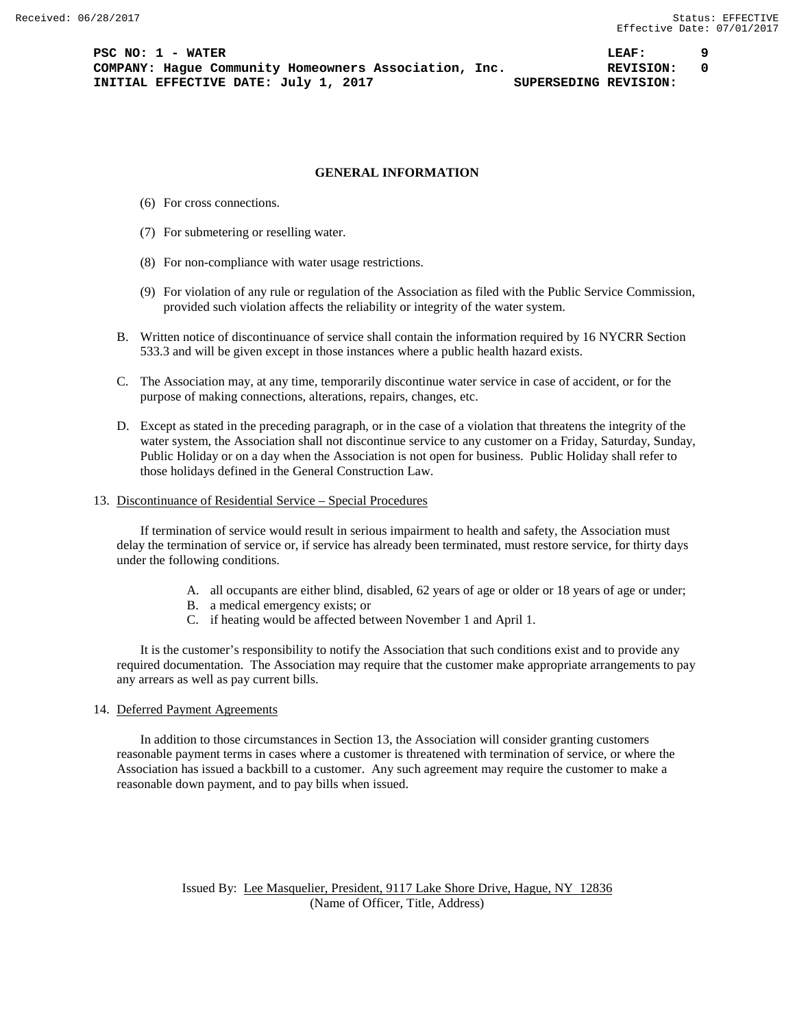#### **GENERAL INFORMATION**

- (6) For cross connections.
- (7) For submetering or reselling water.
- (8) For non-compliance with water usage restrictions.
- (9) For violation of any rule or regulation of the Association as filed with the Public Service Commission, provided such violation affects the reliability or integrity of the water system.
- B. Written notice of discontinuance of service shall contain the information required by 16 NYCRR Section 533.3 and will be given except in those instances where a public health hazard exists.
- C. The Association may, at any time, temporarily discontinue water service in case of accident, or for the purpose of making connections, alterations, repairs, changes, etc.
- D. Except as stated in the preceding paragraph, or in the case of a violation that threatens the integrity of the water system, the Association shall not discontinue service to any customer on a Friday, Saturday, Sunday, Public Holiday or on a day when the Association is not open for business. Public Holiday shall refer to those holidays defined in the General Construction Law.

## 13. Discontinuance of Residential Service – Special Procedures

If termination of service would result in serious impairment to health and safety, the Association must delay the termination of service or, if service has already been terminated, must restore service, for thirty days under the following conditions.

- A. all occupants are either blind, disabled, 62 years of age or older or 18 years of age or under;
- B. a medical emergency exists; or
- C. if heating would be affected between November 1 and April 1.

It is the customer's responsibility to notify the Association that such conditions exist and to provide any required documentation. The Association may require that the customer make appropriate arrangements to pay any arrears as well as pay current bills.

## 14. Deferred Payment Agreements

In addition to those circumstances in Section 13, the Association will consider granting customers reasonable payment terms in cases where a customer is threatened with termination of service, or where the Association has issued a backbill to a customer. Any such agreement may require the customer to make a reasonable down payment, and to pay bills when issued.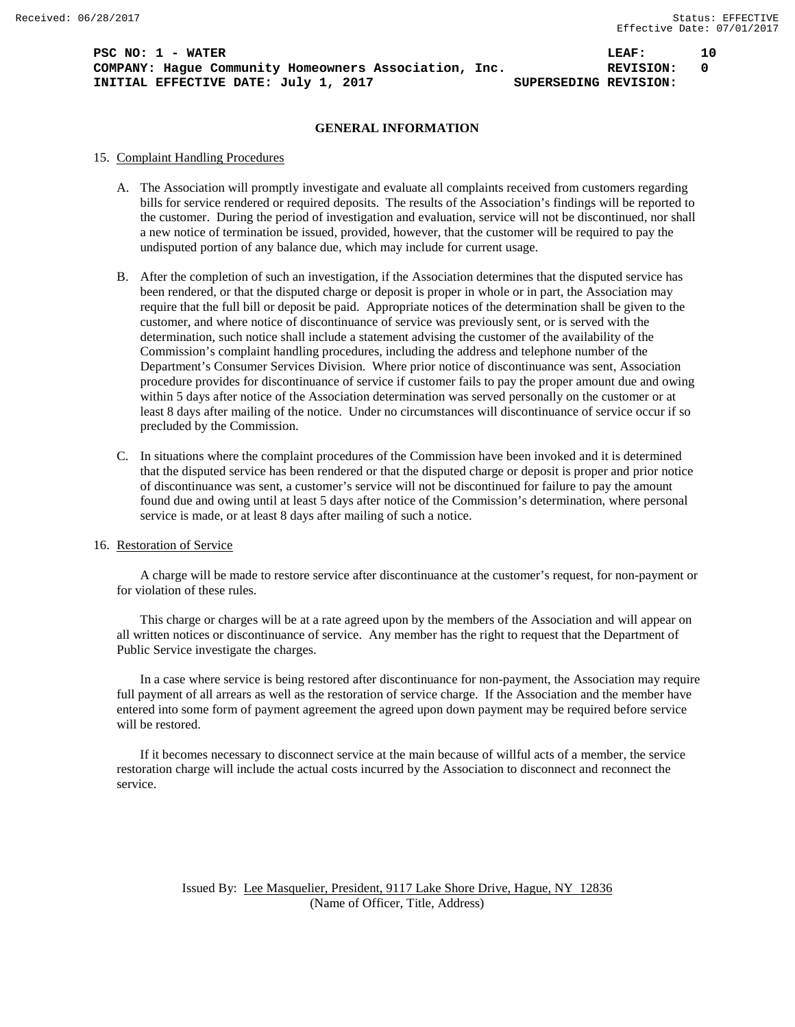**PSC NO: 1 - WATER 10 LEAF: 10 COMPANY: Hague Community Homeowners Association, Inc. REVISION: 0 INITIAL EFFECTIVE DATE:** July 1, 2017 **SUPERSEDING REVISION:** 

## **GENERAL INFORMATION**

#### 15. Complaint Handling Procedures

- A. The Association will promptly investigate and evaluate all complaints received from customers regarding bills for service rendered or required deposits. The results of the Association's findings will be reported to the customer. During the period of investigation and evaluation, service will not be discontinued, nor shall a new notice of termination be issued, provided, however, that the customer will be required to pay the undisputed portion of any balance due, which may include for current usage.
- B. After the completion of such an investigation, if the Association determines that the disputed service has been rendered, or that the disputed charge or deposit is proper in whole or in part, the Association may require that the full bill or deposit be paid. Appropriate notices of the determination shall be given to the customer, and where notice of discontinuance of service was previously sent, or is served with the determination, such notice shall include a statement advising the customer of the availability of the Commission's complaint handling procedures, including the address and telephone number of the Department's Consumer Services Division. Where prior notice of discontinuance was sent, Association procedure provides for discontinuance of service if customer fails to pay the proper amount due and owing within 5 days after notice of the Association determination was served personally on the customer or at least 8 days after mailing of the notice. Under no circumstances will discontinuance of service occur if so precluded by the Commission.
- C. In situations where the complaint procedures of the Commission have been invoked and it is determined that the disputed service has been rendered or that the disputed charge or deposit is proper and prior notice of discontinuance was sent, a customer's service will not be discontinued for failure to pay the amount found due and owing until at least 5 days after notice of the Commission's determination, where personal service is made, or at least 8 days after mailing of such a notice.

#### 16. Restoration of Service

A charge will be made to restore service after discontinuance at the customer's request, for non-payment or for violation of these rules.

This charge or charges will be at a rate agreed upon by the members of the Association and will appear on all written notices or discontinuance of service. Any member has the right to request that the Department of Public Service investigate the charges.

In a case where service is being restored after discontinuance for non-payment, the Association may require full payment of all arrears as well as the restoration of service charge. If the Association and the member have entered into some form of payment agreement the agreed upon down payment may be required before service will be restored.

If it becomes necessary to disconnect service at the main because of willful acts of a member, the service restoration charge will include the actual costs incurred by the Association to disconnect and reconnect the service.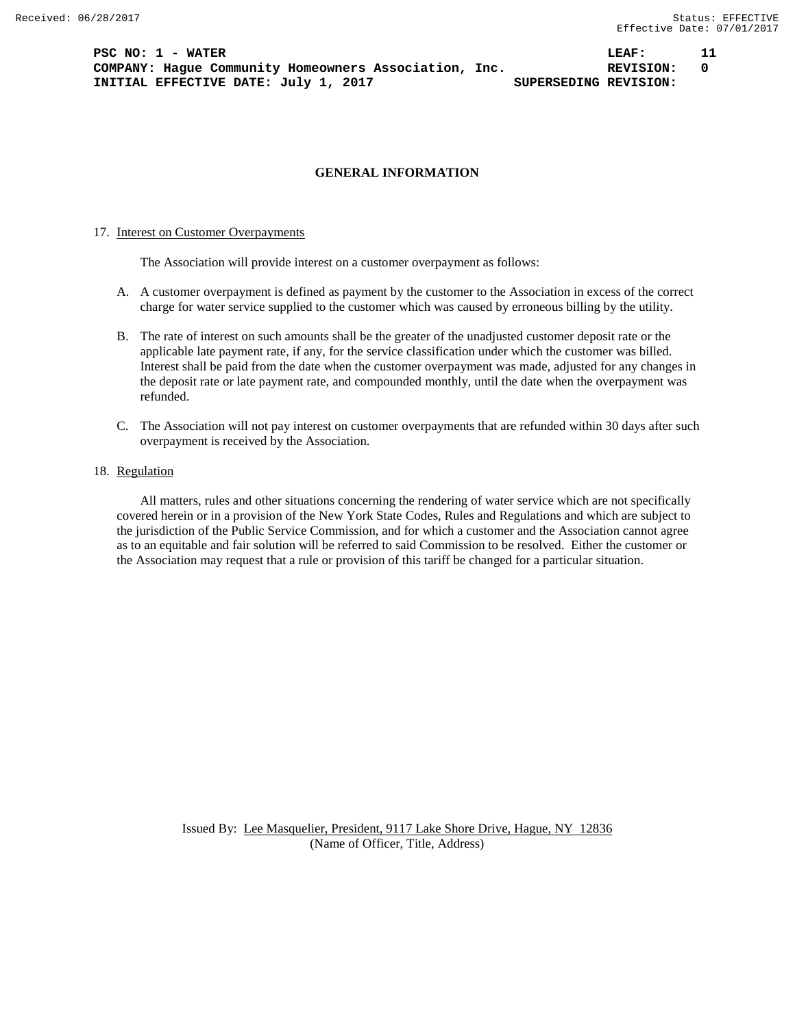**PSC NO: 1 - WATER LEAF: 11 COMPANY: Hague Community Homeowners Association, Inc. REVISION: 0 INITIAL EFFECTIVE DATE:** July 1, 2017 **SUPERSEDING REVISION:** 

## **GENERAL INFORMATION**

#### 17. Interest on Customer Overpayments

The Association will provide interest on a customer overpayment as follows:

- A. A customer overpayment is defined as payment by the customer to the Association in excess of the correct charge for water service supplied to the customer which was caused by erroneous billing by the utility.
- B. The rate of interest on such amounts shall be the greater of the unadjusted customer deposit rate or the applicable late payment rate, if any, for the service classification under which the customer was billed. Interest shall be paid from the date when the customer overpayment was made, adjusted for any changes in the deposit rate or late payment rate, and compounded monthly, until the date when the overpayment was refunded.
- C. The Association will not pay interest on customer overpayments that are refunded within 30 days after such overpayment is received by the Association.
- 18. Regulation

All matters, rules and other situations concerning the rendering of water service which are not specifically covered herein or in a provision of the New York State Codes, Rules and Regulations and which are subject to the jurisdiction of the Public Service Commission, and for which a customer and the Association cannot agree as to an equitable and fair solution will be referred to said Commission to be resolved. Either the customer or the Association may request that a rule or provision of this tariff be changed for a particular situation.